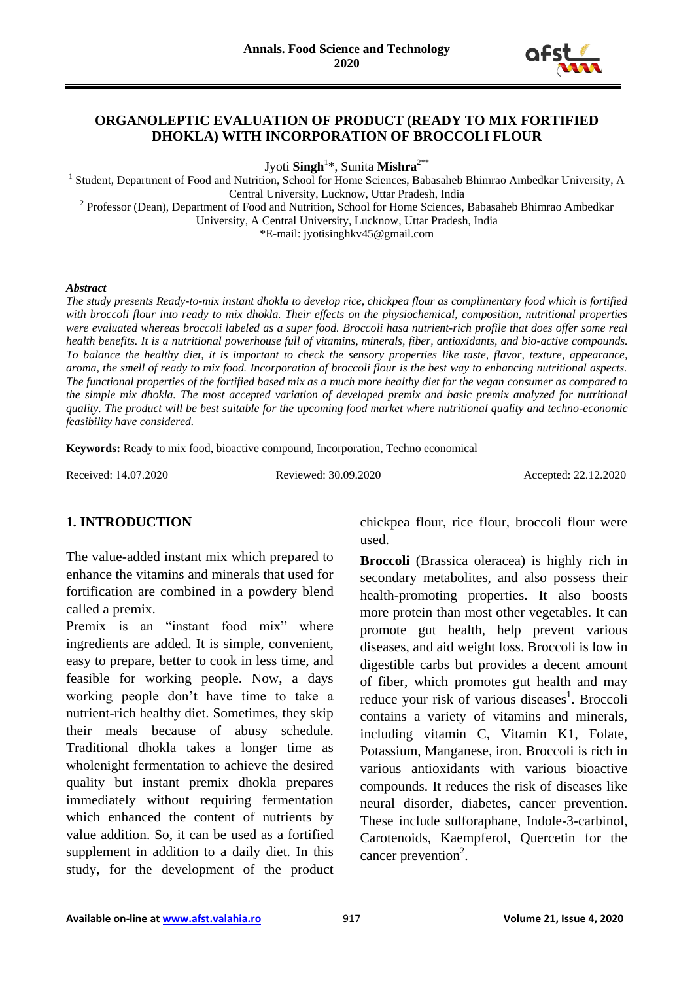

### **ORGANOLEPTIC EVALUATION OF PRODUCT (READY TO MIX FORTIFIED DHOKLA) WITH INCORPORATION OF BROCCOLI FLOUR**

Jyoti **Singh**<sup>1</sup> \*, Sunita **Mishra**2\*\*

<sup>1</sup> Student, Department of Food and Nutrition, School for Home Sciences, Babasaheb Bhimrao Ambedkar University, A Central University, Lucknow, Uttar Pradesh, India <sup>2</sup> Professor (Dean), Department of Food and Nutrition, School for Home Sciences, Babasaheb Bhimrao Ambedkar University, A Central University, Lucknow, Uttar Pradesh, India \*E-mail: jyotisinghkv45@gmail.com

#### *Abstract*

*The study presents Ready-to-mix instant dhokla to develop rice, chickpea flour as complimentary food which is fortified with broccoli flour into ready to mix dhokla. Their effects on the physiochemical, composition, nutritional properties were evaluated whereas broccoli labeled as a super food. Broccoli hasa nutrient-rich profile that does offer some real health benefits. It is a nutritional powerhouse full of vitamins, minerals, fiber, antioxidants, and bio-active compounds. To balance the healthy diet, it is important to check the sensory properties like taste, flavor, texture, appearance, aroma, the smell of ready to mix food. Incorporation of broccoli flour is the best way to enhancing nutritional aspects. The functional properties of the fortified based mix as a much more healthy diet for the vegan consumer as compared to the simple mix dhokla. The most accepted variation of developed premix and basic premix analyzed for nutritional quality. The product will be best suitable for the upcoming food market where nutritional quality and techno-economic feasibility have considered.*

**Keywords:** Ready to mix food, bioactive compound, Incorporation, Techno economical

Received: 14.07.2020 Reviewed: 30.09.2020 Accepted: 22.12.2020

## **1. INTRODUCTION**

The value-added instant mix which prepared to enhance the vitamins and minerals that used for fortification are combined in a powdery blend called a premix.

Premix is an "instant food mix" where ingredients are added. It is simple, convenient, easy to prepare, better to cook in less time, and feasible for working people. Now, a days working people don't have time to take a nutrient-rich healthy diet. Sometimes, they skip their meals because of abusy schedule. Traditional dhokla takes a longer time as wholenight fermentation to achieve the desired quality but instant premix dhokla prepares immediately without requiring fermentation which enhanced the content of nutrients by value addition. So, it can be used as a fortified supplement in addition to a daily diet. In this study, for the development of the product chickpea flour, rice flour, broccoli flour were used.

**Broccoli** (Brassica oleracea) is highly rich in secondary metabolites, and also possess their health-promoting properties. It also boosts more protein than most other vegetables. It can promote gut health, help prevent various diseases, and aid weight loss. Broccoli is low in digestible carbs but provides a decent amount of fiber, which promotes gut health and may reduce your risk of various diseases<sup>1</sup>. Broccoli contains a variety of vitamins and minerals, including vitamin C, Vitamin K1, Folate, Potassium, Manganese, iron. Broccoli is rich in various antioxidants with various bioactive compounds. It reduces the risk of diseases like neural disorder, diabetes, cancer prevention. These include sulforaphane, Indole-3-carbinol, Carotenoids, Kaempferol, Quercetin for the cancer prevention<sup>2</sup>.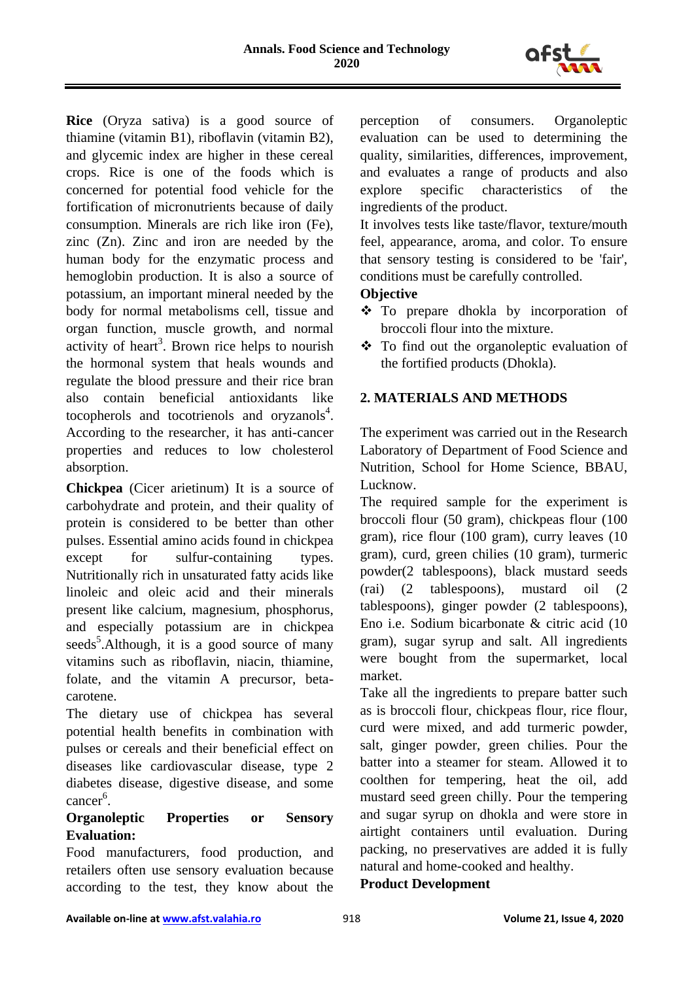

**Rice** (Oryza sativa) is a good source of thiamine (vitamin B1), riboflavin (vitamin B2), and glycemic index are higher in these cereal crops. Rice is one of the foods which is concerned for potential food vehicle for the fortification of micronutrients because of daily consumption. Minerals are rich like iron (Fe), zinc (Zn). Zinc and iron are needed by the human body for the enzymatic process and hemoglobin production. It is also a source of potassium, an important mineral needed by the body for normal metabolisms cell, tissue and organ function, muscle growth, and normal activity of heart<sup>3</sup>. Brown rice helps to nourish the hormonal system that heals wounds and regulate the blood pressure and their rice bran also contain beneficial antioxidants like tocopherols and tocotrienols and oryzanols $4$ . According to the researcher, it has anti-cancer properties and reduces to low cholesterol absorption.

**Chickpea** (Cicer arietinum) It is a source of carbohydrate and protein, and their quality of protein is considered to be better than other pulses. Essential amino acids found in chickpea except for sulfur-containing types. Nutritionally rich in unsaturated fatty acids like linoleic and oleic acid and their minerals present like calcium, magnesium, phosphorus, and especially potassium are in chickpea seeds<sup>5</sup>. Although, it is a good source of many vitamins such as riboflavin, niacin, thiamine, folate, and the vitamin A precursor, betacarotene.

The dietary use of chickpea has several potential health benefits in combination with pulses or cereals and their beneficial effect on diseases like cardiovascular disease, type 2 diabetes disease, digestive disease, and some cancer<sup>6</sup>.

### **Organoleptic Properties or Sensory Evaluation:**

Food manufacturers, food production, and retailers often use sensory evaluation because according to the test, they know about the perception of consumers. Organoleptic evaluation can be used to determining the quality, similarities, differences, improvement, and evaluates a range of products and also explore specific characteristics of the ingredients of the product.

It involves tests like taste/flavor, texture/mouth feel, appearance, aroma, and color. To ensure that sensory testing is considered to be 'fair', conditions must be carefully controlled.

# **Objective**

- To prepare dhokla by incorporation of broccoli flour into the mixture.
- $\div$  To find out the organoleptic evaluation of the fortified products (Dhokla).

# **2. MATERIALS AND METHODS**

The experiment was carried out in the Research Laboratory of Department of Food Science and Nutrition, School for Home Science, BBAU, Lucknow.

The required sample for the experiment is broccoli flour (50 gram), chickpeas flour (100 gram), rice flour (100 gram), curry leaves (10 gram), curd, green chilies (10 gram), turmeric powder(2 tablespoons), black mustard seeds (rai) (2 tablespoons), mustard oil (2 tablespoons), ginger powder (2 tablespoons), Eno i.e. Sodium bicarbonate & citric acid (10 gram), sugar syrup and salt. All ingredients were bought from the supermarket, local market.

Take all the ingredients to prepare batter such as is broccoli flour, chickpeas flour, rice flour, curd were mixed, and add turmeric powder, salt, ginger powder, green chilies. Pour the batter into a steamer for steam. Allowed it to coolthen for tempering, heat the oil, add mustard seed green chilly. Pour the tempering and sugar syrup on dhokla and were store in airtight containers until evaluation. During packing, no preservatives are added it is fully natural and home-cooked and healthy.

## **Product Development**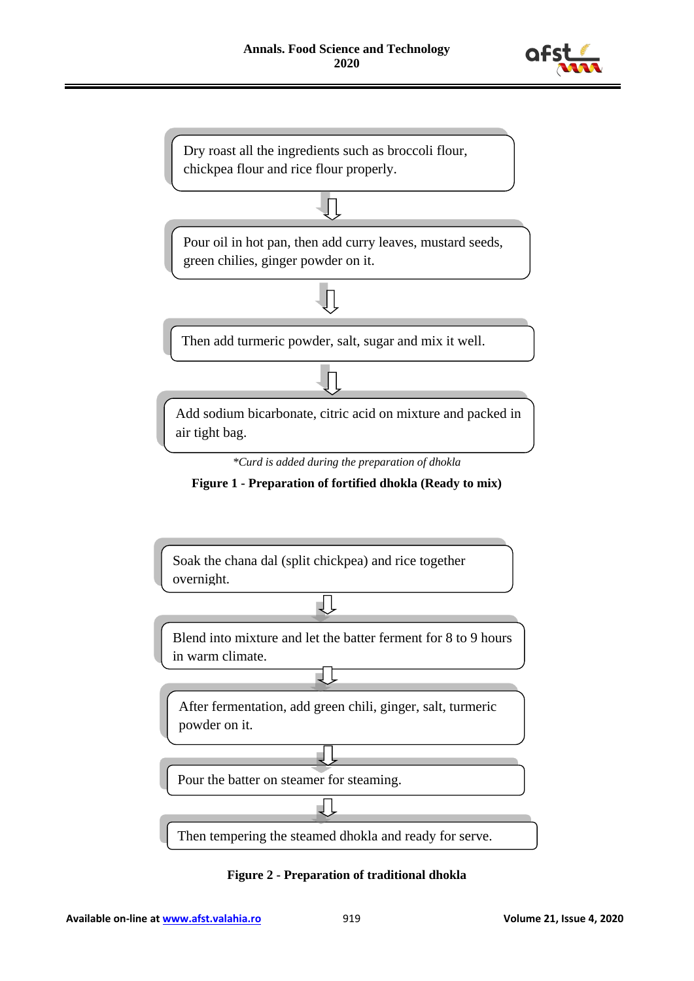



Pour the batter on steamer for steaming.

Then tempering the steamed dhokla and ready for serve.

 $\Box$ 

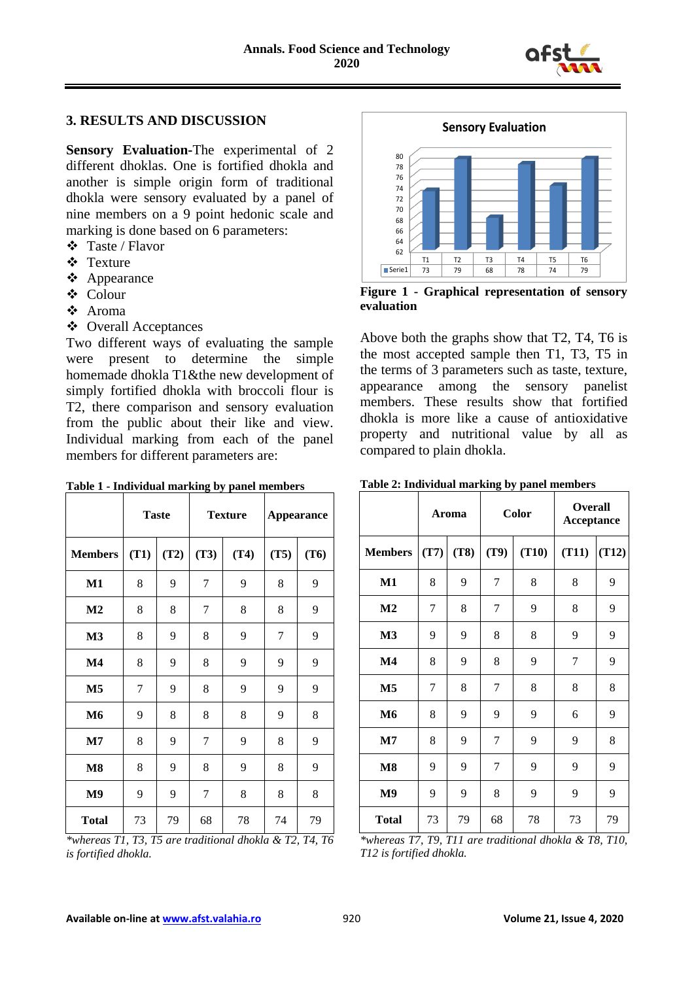

### **3. RESULTS AND DISCUSSION**

**Sensory Evaluation-**The experimental of 2 different dhoklas. One is fortified dhokla and another is simple origin form of traditional dhokla were sensory evaluated by a panel of nine members on a 9 point hedonic scale and marking is done based on 6 parameters:

- Taste / Flavor
- Texture
- ❖ Appearance
- Colour
- Aroma
- Overall Acceptances

Two different ways of evaluating the sample were present to determine the simple homemade dhokla T1&the new development of simply fortified dhokla with broccoli flour is T2, there comparison and sensory evaluation from the public about their like and view. Individual marking from each of the panel members for different parameters are:

|                |      | <b>Taste</b> | <b>Texture</b> |      | <b>Appearance</b> |      |
|----------------|------|--------------|----------------|------|-------------------|------|
| <b>Members</b> | (T1) | (T2)         | (T3)           | (T4) | (T5)              | (T6) |
| M1             | 8    | 9            | 7              | 9    | 8                 | 9    |
| M <sub>2</sub> | 8    | 8            | 7              | 8    | 8                 | 9    |
| M <sub>3</sub> | 8    | 9            | 8              | 9    | 7                 | 9    |
| $\mathbf{M}4$  | 8    | 9            | 8              | 9    | 9                 | 9    |
| M <sub>5</sub> | 7    | 9            | 8              | 9    | 9                 | 9    |
| M6             | 9    | 8            | 8              | 8    | 9                 | 8    |
| $\mathbf{M}$   | 8    | 9            | 7              | 9    | 8                 | 9    |
| $\mathbf{M}$ 8 | 8    | 9            | 8              | 9    | 8                 | 9    |
| M <sub>9</sub> | 9    | 9            | 7              | 8    | 8                 | 8    |
| <b>Total</b>   | 73   | 79           | 68             | 78   | 74                | 79   |





**Figure 1 - Graphical representation of sensory evaluation**

Above both the graphs show that T2, T4, T6 is the most accepted sample then T1, T3, T5 in the terms of 3 parameters such as taste, texture, appearance among the sensory panelist members. These results show that fortified dhokla is more like a cause of antioxidative property and nutritional value by all as compared to plain dhokla.

|  | Table 2: Individual marking by panel members |  |  |  |  |
|--|----------------------------------------------|--|--|--|--|
|--|----------------------------------------------|--|--|--|--|

|                |      | Aroma | Color          |       | <b>Overall</b><br>Acceptance |       |
|----------------|------|-------|----------------|-------|------------------------------|-------|
| <b>Members</b> | (T7) | (T8)  | (T9)           | (T10) | (T11)                        | (T12) |
| M1             | 8    | 9     | 7              | 8     | 8                            | 9     |
| M <sub>2</sub> | 7    | 8     | 7              | 9     | 8                            | 9     |
| M <sub>3</sub> | 9    | 9     | 8              | 8     | 9                            | 9     |
| $\mathbf{M}4$  | 8    | 9     | 8              | 9     | 7                            | 9     |
| M <sub>5</sub> | 7    | 8     | 7              | 8     | 8                            | 8     |
| M6             | 8    | 9     | 9              | 9     | 6                            | 9     |
| $\mathbf{M}$ 7 | 8    | 9     | 7              | 9     | 9                            | 8     |
| $\mathbf{M8}$  | 9    | 9     | $\overline{7}$ | 9     | 9                            | 9     |
| M <sub>9</sub> | 9    | 9     | 8              | 9     | 9                            | 9     |
| <b>Total</b>   | 73   | 79    | 68             | 78    | 73                           | 79    |

*\*whereas T7, T9, T11 are traditional dhokla & T8, T10, T12 is fortified dhokla.*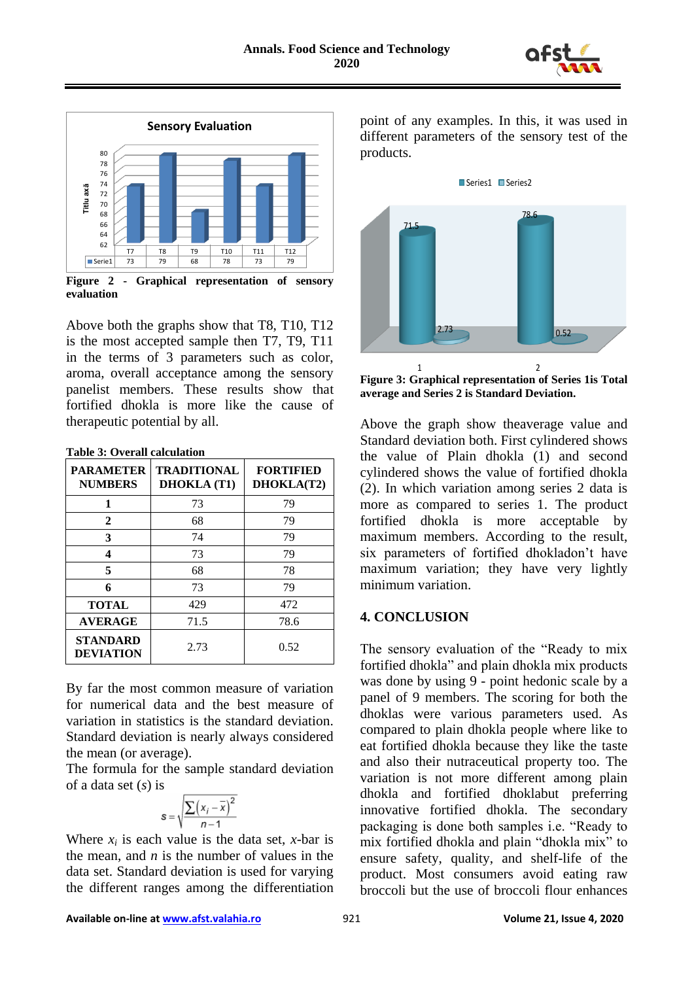



**Figure 2 - Graphical representation of sensory evaluation**

Above both the graphs show that T8, T10, T12 is the most accepted sample then T7, T9, T11 in the terms of 3 parameters such as color, aroma, overall acceptance among the sensory panelist members. These results show that fortified dhokla is more like the cause of therapeutic potential by all.

| Table 3: Overall calculation |
|------------------------------|
|------------------------------|

| <b>PARAMETER</b><br><b>NUMBERS</b>  | <b>TRADITIONAL</b><br><b>DHOKLA</b> (T1) | <b>FORTIFIED</b><br>DHOKLA(T2) |  |
|-------------------------------------|------------------------------------------|--------------------------------|--|
| 1                                   | 73                                       | 79                             |  |
| $\mathbf{2}$                        | 68                                       | 79                             |  |
| 3                                   | 74                                       | 79                             |  |
| 4                                   | 73                                       | 79                             |  |
| 5                                   | 68                                       | 78                             |  |
| 6                                   | 73                                       | 79                             |  |
| <b>TOTAL</b>                        | 429                                      | 472                            |  |
| <b>AVERAGE</b>                      | 71.5                                     | 78.6                           |  |
| <b>STANDARD</b><br><b>DEVIATION</b> | 2.73                                     | 0.52                           |  |

By far the most common measure of variation for numerical data and the best measure of variation in statistics is the standard deviation. Standard deviation is nearly always considered the mean (or average).

The formula for the sample standard deviation of a data set (*s*) is

$$
s = \sqrt{\frac{\sum (x_i - \overline{x})^2}{n - 1}}
$$

Where  $x_i$  is each value is the data set, *x*-bar is the mean, and  $n$  is the number of values in the data set. Standard deviation is used for varying the different ranges among the differentiation point of any examples. In this, it was used in different parameters of the sensory test of the products.



**Figure 3: Graphical representation of Series 1is Total average and Series 2 is Standard Deviation.**

Above the graph show theaverage value and Standard deviation both. First cylindered shows the value of Plain dhokla (1) and second cylindered shows the value of fortified dhokla (2). In which variation among series 2 data is more as compared to series 1. The product fortified dhokla is more acceptable by maximum members. According to the result, six parameters of fortified dhokladon't have maximum variation; they have very lightly minimum variation.

### **4. CONCLUSION**

The sensory evaluation of the "Ready to mix fortified dhokla" and plain dhokla mix products was done by using 9 - point hedonic scale by a panel of 9 members. The scoring for both the dhoklas were various parameters used. As compared to plain dhokla people where like to eat fortified dhokla because they like the taste and also their nutraceutical property too. The variation is not more different among plain dhokla and fortified dhoklabut preferring innovative fortified dhokla. The secondary packaging is done both samples i.e. "Ready to mix fortified dhokla and plain "dhokla mix" to ensure safety, quality, and shelf-life of the product. Most consumers avoid eating raw broccoli but the use of broccoli flour enhances